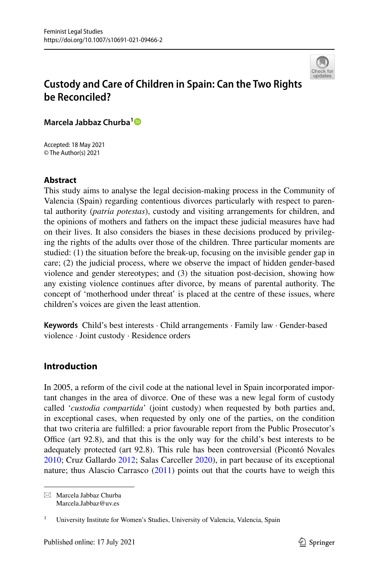

# **Custody and Care of Children in Spain: Can the Two Rights be Reconciled?**

**Marcela Jabbaz Churba[1](http://orcid.org/0000-0002-7755-7742)**

Accepted: 18 May 2021 © The Author(s) 2021

# **Abstract**

This study aims to analyse the legal decision-making process in the Community of Valencia (Spain) regarding contentious divorces particularly with respect to parental authority (*patria potestas*), custody and visiting arrangements for children, and the opinions of mothers and fathers on the impact these judicial measures have had on their lives. It also considers the biases in these decisions produced by privileging the rights of the adults over those of the children. Three particular moments are studied: (1) the situation before the break-up, focusing on the invisible gender gap in care; (2) the judicial process, where we observe the impact of hidden gender-based violence and gender stereotypes; and (3) the situation post-decision, showing how any existing violence continues after divorce, by means of parental authority. The concept of 'motherhood under threat' is placed at the centre of these issues, where children's voices are given the least attention.

**Keywords** Child's best interests · Child arrangements · Family law · Gender-based violence · Joint custody · Residence orders

# **Introduction**

In 2005, a reform of the civil code at the national level in Spain incorporated important changes in the area of divorce. One of these was a new legal form of custody called '*custodia compartida*' (joint custody) when requested by both parties and, in exceptional cases, when requested by only one of the parties, on the condition that two criteria are fulflled: a prior favourable report from the Public Prosecutor's Office (art  $92.8$ ), and that this is the only way for the child's best interests to be adequately protected (art 92.8). This rule has been controversial (Picontó Novales [2010](#page-21-0); Cruz Gallardo [2012](#page-20-0); Salas Carceller [2020](#page-21-1)), in part because of its exceptional nature; thus Alascio Carrasco [\(2011](#page-20-1)) points out that the courts have to weigh this

 $\boxtimes$  Marcela Jabbaz Churba Marcela.Jabbaz@uv.es

<sup>1</sup> University Institute for Women's Studies, University of Valencia, Valencia, Spain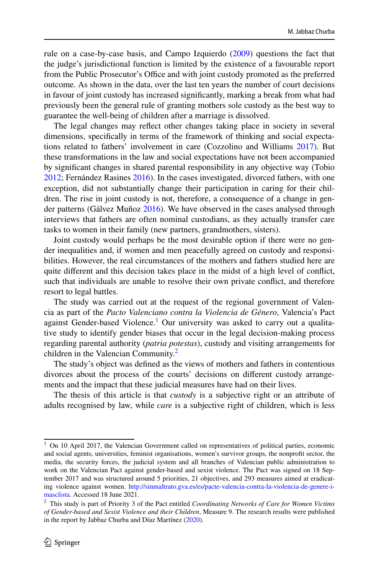rule on a case-by-case basis, and Campo Izquierdo ([2009\)](#page-20-2) questions the fact that the judge's jurisdictional function is limited by the existence of a favourable report from the Public Prosecutor's Office and with joint custody promoted as the preferred outcome. As shown in the data, over the last ten years the number of court decisions in favour of joint custody has increased signifcantly, marking a break from what had previously been the general rule of granting mothers sole custody as the best way to guarantee the well-being of children after a marriage is dissolved.

The legal changes may refect other changes taking place in society in several dimensions, specifcally in terms of the framework of thinking and social expectations related to fathers' involvement in care (Cozzolino and Williams [2017](#page-20-3)). But these transformations in the law and social expectations have not been accompanied by signifcant changes in shared parental responsibility in any objective way (Tobio [2012](#page-22-0); Fernández Rasines [2016](#page-20-4)). In the cases investigated, divorced fathers, with one exception, did not substantially change their participation in caring for their children. The rise in joint custody is not, therefore, a consequence of a change in gender patterns (Gálvez Muñoz [2016](#page-20-5)). We have observed in the cases analysed through interviews that fathers are often nominal custodians, as they actually transfer care tasks to women in their family (new partners, grandmothers, sisters).

Joint custody would perhaps be the most desirable option if there were no gender inequalities and, if women and men peacefully agreed on custody and responsibilities. However, the real circumstances of the mothers and fathers studied here are quite diferent and this decision takes place in the midst of a high level of confict, such that individuals are unable to resolve their own private confict, and therefore resort to legal battles.

The study was carried out at the request of the regional government of Valencia as part of the *Pacto Valenciano contra la Violencia de Género*, Valencia's Pact against Gender-based Violence.<sup>1</sup> Our university was asked to carry out a qualitative study to identify gender biases that occur in the legal decision-making process regarding parental authority (*patria potestas*), custody and visiting arrangements for children in the Valencian Community. $^{2}$ 

The study's object was defned as the views of mothers and fathers in contentious divorces about the process of the courts' decisions on diferent custody arrangements and the impact that these judicial measures have had on their lives.

The thesis of this article is that *custody* is a subjective right or an attribute of adults recognised by law, while *care* is a subjective right of children, which is less

<span id="page-1-0"></span><sup>&</sup>lt;sup>1</sup> On 10 April 2017, the Valencian Government called on representatives of political parties, economic and social agents, universities, feminist organisations, women's survivor groups, the nonproft sector, the media, the security forces, the judicial system and all branches of Valencian public administration to work on the Valencian Pact against gender-based and sexist violence. The Pact was signed on 18 September 2017 and was structured around 5 priorities, 21 objectives, and 293 measures aimed at eradicating violence against women. [http://sinmaltrato.gva.es/es/pacte-valencia-contra-la-violencia-de-genere-i](http://sinmaltrato.gva.es/es/pacte-valencia-contra-la-violencia-de-genere-i-masclista)[masclista.](http://sinmaltrato.gva.es/es/pacte-valencia-contra-la-violencia-de-genere-i-masclista) Accessed 18 June 2021.

<span id="page-1-1"></span><sup>2</sup> This study is part of Priority 3 of the Pact entitled *Coordinating Networks of Care for Women Victims of Gender-based and Sexist Violence and their Children*, Measure 9. The research results were published in the report by Jabbaz Churba and Díaz Martínez ([2020\)](#page-21-2).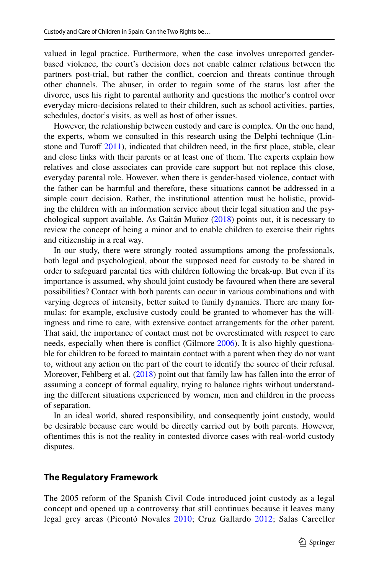valued in legal practice. Furthermore, when the case involves unreported genderbased violence, the court's decision does not enable calmer relations between the partners post-trial, but rather the confict, coercion and threats continue through other channels. The abuser, in order to regain some of the status lost after the divorce, uses his right to parental authority and questions the mother's control over everyday micro-decisions related to their children, such as school activities, parties, schedules, doctor's visits, as well as host of other issues.

However, the relationship between custody and care is complex. On the one hand, the experts, whom we consulted in this research using the Delphi technique (Linstone and Turoff  $2011$ ), indicated that children need, in the first place, stable, clear and close links with their parents or at least one of them. The experts explain how relatives and close associates can provide care support but not replace this close, everyday parental role. However, when there is gender-based violence, contact with the father can be harmful and therefore, these situations cannot be addressed in a simple court decision. Rather, the institutional attention must be holistic, providing the children with an information service about their legal situation and the psychological support available. As Gaitán Muñoz [\(2018](#page-20-6)) points out, it is necessary to review the concept of being a minor and to enable children to exercise their rights and citizenship in a real way.

In our study, there were strongly rooted assumptions among the professionals, both legal and psychological, about the supposed need for custody to be shared in order to safeguard parental ties with children following the break-up. But even if its importance is assumed, why should joint custody be favoured when there are several possibilities? Contact with both parents can occur in various combinations and with varying degrees of intensity, better suited to family dynamics. There are many formulas: for example, exclusive custody could be granted to whomever has the willingness and time to care, with extensive contact arrangements for the other parent. That said, the importance of contact must not be overestimated with respect to care needs, especially when there is confict (Gilmore [2006\)](#page-21-4). It is also highly questionable for children to be forced to maintain contact with a parent when they do not want to, without any action on the part of the court to identify the source of their refusal. Moreover, Fehlberg et al. ([2018\)](#page-20-7) point out that family law has fallen into the error of assuming a concept of formal equality, trying to balance rights without understanding the diferent situations experienced by women, men and children in the process of separation.

In an ideal world, shared responsibility, and consequently joint custody, would be desirable because care would be directly carried out by both parents. However, oftentimes this is not the reality in contested divorce cases with real-world custody disputes.

### **The Regulatory Framework**

The 2005 reform of the Spanish Civil Code introduced joint custody as a legal concept and opened up a controversy that still continues because it leaves many legal grey areas (Picontó Novales [2010;](#page-21-0) Cruz Gallardo [2012](#page-20-0); Salas Carceller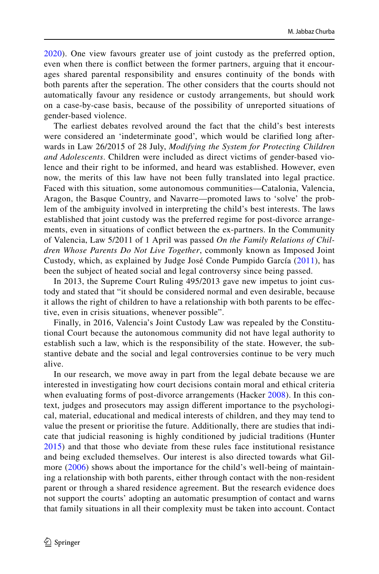[2020\)](#page-21-1). One view favours greater use of joint custody as the preferred option, even when there is confict between the former partners, arguing that it encourages shared parental responsibility and ensures continuity of the bonds with both parents after the seperation. The other considers that the courts should not automatically favour any residence or custody arrangements, but should work on a case-by-case basis, because of the possibility of unreported situations of gender-based violence.

The earliest debates revolved around the fact that the child's best interests were considered an 'indeterminate good', which would be clarifed long afterwards in Law 26/2015 of 28 July, *Modifying the System for Protecting Children and Adolescents*. Children were included as direct victims of gender-based violence and their right to be informed, and heard was established. However, even now, the merits of this law have not been fully translated into legal practice. Faced with this situation, some autonomous communities—Catalonia, Valencia, Aragon, the Basque Country, and Navarre—promoted laws to 'solve' the problem of the ambiguity involved in interpreting the child's best interests. The laws established that joint custody was the preferred regime for post-divorce arrangements, even in situations of confict between the ex-partners. In the Community of Valencia, Law 5/2011 of 1 April was passed *On the Family Relations of Children Whose Parents Do Not Live Together*, commonly known as Imposed Joint Custody, which, as explained by Judge José Conde Pumpido García [\(2011](#page-20-8)), has been the subject of heated social and legal controversy since being passed.

In 2013, the Supreme Court Ruling 495/2013 gave new impetus to joint custody and stated that "it should be considered normal and even desirable, because it allows the right of children to have a relationship with both parents to be efective, even in crisis situations, whenever possible".

Finally, in 2016, Valencia's Joint Custody Law was repealed by the Constitutional Court because the autonomous community did not have legal authority to establish such a law, which is the responsibility of the state. However, the substantive debate and the social and legal controversies continue to be very much alive.

In our research, we move away in part from the legal debate because we are interested in investigating how court decisions contain moral and ethical criteria when evaluating forms of post-divorce arrangements (Hacker [2008](#page-21-5)). In this context, judges and prosecutors may assign diferent importance to the psychological, material, educational and medical interests of children, and they may tend to value the present or prioritise the future. Additionally, there are studies that indicate that judicial reasoning is highly conditioned by judicial traditions (Hunter [2015\)](#page-21-6) and that those who deviate from these rules face institutional resistance and being excluded themselves. Our interest is also directed towards what Gil-more ([2006\)](#page-21-4) shows about the importance for the child's well-being of maintaining a relationship with both parents, either through contact with the non-resident parent or through a shared residence agreement. But the research evidence does not support the courts' adopting an automatic presumption of contact and warns that family situations in all their complexity must be taken into account. Contact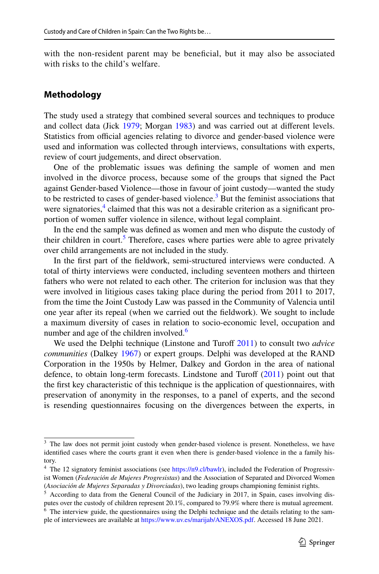with the non-resident parent may be beneficial, but it may also be associated with risks to the child's welfare.

## **Methodology**

The study used a strategy that combined several sources and techniques to produce and collect data (Jick [1979](#page-21-7); Morgan [1983](#page-21-8)) and was carried out at diferent levels. Statistics from official agencies relating to divorce and gender-based violence were used and information was collected through interviews, consultations with experts, review of court judgements, and direct observation.

One of the problematic issues was defning the sample of women and men involved in the divorce process, because some of the groups that signed the Pact against Gender-based Violence—those in favour of joint custody—wanted the study to be restricted to cases of gender-based violence.<sup>[3](#page-4-0)</sup> But the feminist associations that were signatories,<sup>[4](#page-4-1)</sup> claimed that this was not a desirable criterion as a significant proportion of women suffer violence in silence, without legal complaint.

In the end the sample was defned as women and men who dispute the custody of their children in court.<sup>[5](#page-4-2)</sup> Therefore, cases where parties were able to agree privately over child arrangements are not included in the study.

In the frst part of the feldwork, semi-structured interviews were conducted. A total of thirty interviews were conducted, including seventeen mothers and thirteen fathers who were not related to each other. The criterion for inclusion was that they were involved in litigious cases taking place during the period from 2011 to 2017, from the time the Joint Custody Law was passed in the Community of Valencia until one year after its repeal (when we carried out the feldwork). We sought to include a maximum diversity of cases in relation to socio-economic level, occupation and number and age of the children involved.<sup>6</sup>

We used the Delphi technique (Linstone and Turoff [2011\)](#page-21-3) to consult two *advice communities* (Dalkey [1967](#page-20-9)) or expert groups. Delphi was developed at the RAND Corporation in the 1950s by Helmer, Dalkey and Gordon in the area of national defence, to obtain long-term forecasts. Lindstone and Turoff  $(2011)$  $(2011)$  point out that the frst key characteristic of this technique is the application of questionnaires, with preservation of anonymity in the responses, to a panel of experts, and the second is resending questionnaires focusing on the divergences between the experts, in

<span id="page-4-0"></span><sup>&</sup>lt;sup>3</sup> The law does not permit joint custody when gender-based violence is present. Nonetheless, we have identifed cases where the courts grant it even when there is gender-based violence in the a family history.

<span id="page-4-1"></span><sup>&</sup>lt;sup>4</sup> The 12 signatory feminist associations (see [https://n9.cl/bawlr\)](https://n9.cl/bawlr), included the Federation of Progressivist Women (*Federación de Mujeres Progresistas*) and the Association of Separated and Divorced Women (*Asociación de Mujeres Separadas y Divorciadas*), two leading groups championing feminist rights.

<span id="page-4-3"></span><span id="page-4-2"></span><sup>&</sup>lt;sup>5</sup> According to data from the General Council of the Judiciary in 2017, in Spain, cases involving disputes over the custody of children represent 20.1%, compared to 79.9% where there is mutual agreement.  $6$  The interview guide, the questionnaires using the Delphi technique and the details relating to the sample of interviewees are available at <https://www.uv.es/marijab/ANEXOS.pdf>. Accessed 18 June 2021.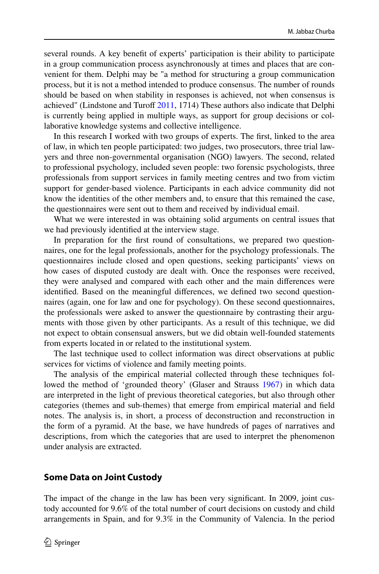several rounds. A key beneft of experts' participation is their ability to participate in a group communication process asynchronously at times and places that are convenient for them. Delphi may be "a method for structuring a group communication process, but it is not a method intended to produce consensus. The number of rounds should be based on when stability in responses is achieved, not when consensus is achieved" (Lindstone and Turoff [2011](#page-21-3), 1714) These authors also indicate that Delphi is currently being applied in multiple ways, as support for group decisions or collaborative knowledge systems and collective intelligence.

In this research I worked with two groups of experts. The frst, linked to the area of law, in which ten people participated: two judges, two prosecutors, three trial lawyers and three non-governmental organisation (NGO) lawyers. The second, related to professional psychology, included seven people: two forensic psychologists, three professionals from support services in family meeting centres and two from victim support for gender-based violence. Participants in each advice community did not know the identities of the other members and, to ensure that this remained the case, the questionnaires were sent out to them and received by individual email.

What we were interested in was obtaining solid arguments on central issues that we had previously identifed at the interview stage.

In preparation for the frst round of consultations, we prepared two questionnaires, one for the legal professionals, another for the psychology professionals. The questionnaires include closed and open questions, seeking participants' views on how cases of disputed custody are dealt with. Once the responses were received, they were analysed and compared with each other and the main diferences were identifed. Based on the meaningful diferences, we defned two second questionnaires (again, one for law and one for psychology). On these second questionnaires, the professionals were asked to answer the questionnaire by contrasting their arguments with those given by other participants. As a result of this technique, we did not expect to obtain consensual answers, but we did obtain well-founded statements from experts located in or related to the institutional system.

The last technique used to collect information was direct observations at public services for victims of violence and family meeting points.

The analysis of the empirical material collected through these techniques followed the method of 'grounded theory' (Glaser and Strauss [1967](#page-21-9)) in which data are interpreted in the light of previous theoretical categories, but also through other categories (themes and sub-themes) that emerge from empirical material and feld notes. The analysis is, in short, a process of deconstruction and reconstruction in the form of a pyramid. At the base, we have hundreds of pages of narratives and descriptions, from which the categories that are used to interpret the phenomenon under analysis are extracted.

### **Some Data on Joint Custody**

The impact of the change in the law has been very signifcant. In 2009, joint custody accounted for 9.6% of the total number of court decisions on custody and child arrangements in Spain, and for 9.3% in the Community of Valencia. In the period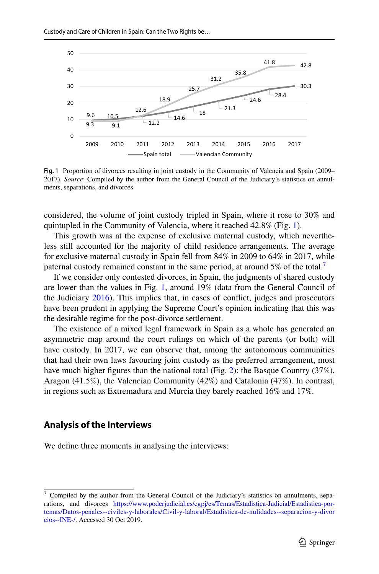

<span id="page-6-0"></span>**Fig. 1** Proportion of divorces resulting in joint custody in the Community of Valencia and Spain (2009– 2017). *Source*: Compiled by the author from the General Council of the Judiciary's statistics on annulments, separations, and divorces

considered, the volume of joint custody tripled in Spain, where it rose to 30% and quintupled in the Community of Valencia, where it reached 42.8% (Fig. [1\)](#page-6-0).

This growth was at the expense of exclusive maternal custody, which nevertheless still accounted for the majority of child residence arrangements. The average for exclusive maternal custody in Spain fell from 84% in 2009 to 64% in 2017, while paternal custody remained constant in the same period, at around  $5\%$  of the total.<sup>[7](#page-6-1)</sup>

If we consider only contested divorces, in Spain, the judgments of shared custody are lower than the values in Fig. [1,](#page-6-0) around 19% (data from the General Council of the Judiciary [2016\)](#page-21-10). This implies that, in cases of confict, judges and prosecutors have been prudent in applying the Supreme Court's opinion indicating that this was the desirable regime for the post-divorce settlement.

The existence of a mixed legal framework in Spain as a whole has generated an asymmetric map around the court rulings on which of the parents (or both) will have custody. In 2017, we can observe that, among the autonomous communities that had their own laws favouring joint custody as the preferred arrangement, most have much higher figures than the national total (Fig. [2\)](#page-7-0): the Basque Country (37%), Aragon (41.5%), the Valencian Community (42%) and Catalonia (47%). In contrast, in regions such as Extremadura and Murcia they barely reached 16% and 17%.

## **Analysis of the Interviews**

We defne three moments in analysing the interviews:

<span id="page-6-1"></span> $7$  Compiled by the author from the General Council of the Judiciary's statistics on annulments, separations, and divorces [https://www.poderjudicial.es/cgpj/es/Temas/Estadistica-Judicial/Estadistica-por](https://www.poderjudicial.es/cgpj/es/Temas/Estadistica-Judicial/Estadistica-por-temas/Datos-penales--civiles-y-laborales/Civil-y-laboral/Estadistica-de-nulidades--separacion-y-divorcios--INE-/)[temas/Datos-penales--civiles-y-laborales/Civil-y-laboral/Estadistica-de-nulidades--separacion-y-divor](https://www.poderjudicial.es/cgpj/es/Temas/Estadistica-Judicial/Estadistica-por-temas/Datos-penales--civiles-y-laborales/Civil-y-laboral/Estadistica-de-nulidades--separacion-y-divorcios--INE-/) [cios--INE-/](https://www.poderjudicial.es/cgpj/es/Temas/Estadistica-Judicial/Estadistica-por-temas/Datos-penales--civiles-y-laborales/Civil-y-laboral/Estadistica-de-nulidades--separacion-y-divorcios--INE-/). Accessed 30 Oct 2019.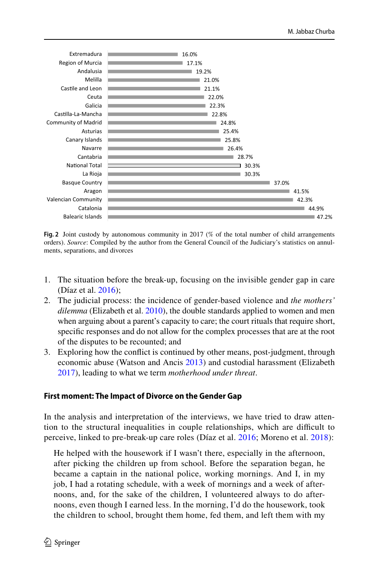

<span id="page-7-0"></span>**Fig. 2** Joint custody by autonomous community in 2017 (% of the total number of child arrangements orders). *Source*: Compiled by the author from the General Council of the Judiciary's statistics on annulments, separations, and divorces

- 1. The situation before the break-up, focusing on the invisible gender gap in care (Díaz et al. [2016](#page-20-10));
- 2. The judicial process: the incidence of gender-based violence and *the mothers' dilemma* (Elizabeth et al. [2010\)](#page-20-11), the double standards applied to women and men when arguing about a parent's capacity to care; the court rituals that require short, specifc responses and do not allow for the complex processes that are at the root of the disputes to be recounted; and
- 3. Exploring how the confict is continued by other means, post-judgment, through economic abuse (Watson and Ancis [2013\)](#page-22-1) and custodial harassment (Elizabeth [2017](#page-20-12)), leading to what we term *motherhood under threat*.

#### **First moment: The Impact of Divorce on the Gender Gap**

In the analysis and interpretation of the interviews, we have tried to draw attention to the structural inequalities in couple relationships, which are difcult to perceive, linked to pre-break-up care roles (Díaz et al. [2016;](#page-20-10) Moreno et al. [2018](#page-21-11)):

He helped with the housework if I wasn't there, especially in the afternoon, after picking the children up from school. Before the separation began, he became a captain in the national police, working mornings. And I, in my job, I had a rotating schedule, with a week of mornings and a week of afternoons, and, for the sake of the children, I volunteered always to do afternoons, even though I earned less. In the morning, I'd do the housework, took the children to school, brought them home, fed them, and left them with my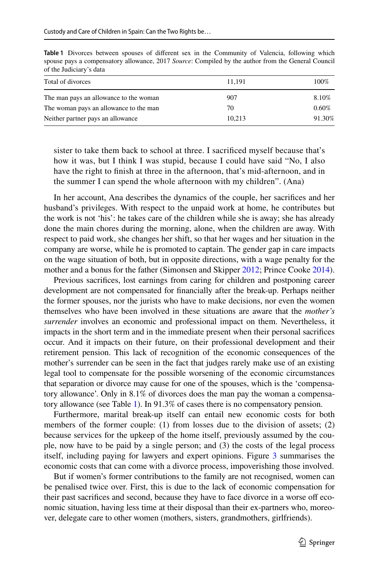| Total of divorces                      | 11.191 | 100%   |
|----------------------------------------|--------|--------|
| The man pays an allowance to the woman | 907    | 8.10%  |
| The woman pays an allowance to the man | 70     | 0.60%  |
| Neither partner pays an allowance      | 10.213 | 91.30% |

<span id="page-8-0"></span>**Table 1** Divorces between spouses of diferent sex in the Community of Valencia, following which spouse pays a compensatory allowance, 2017 *Source*: Compiled by the author from the General Council of the Judiciary's data

sister to take them back to school at three. I sacrifced myself because that's how it was, but I think I was stupid, because I could have said "No, I also have the right to fnish at three in the afternoon, that's mid-afternoon, and in the summer I can spend the whole afternoon with my children". (Ana)

In her account, Ana describes the dynamics of the couple, her sacrifces and her husband's privileges. With respect to the unpaid work at home, he contributes but the work is not 'his': he takes care of the children while she is away; she has already done the main chores during the morning, alone, when the children are away. With respect to paid work, she changes her shift, so that her wages and her situation in the company are worse, while he is promoted to captain. The gender gap in care impacts on the wage situation of both, but in opposite directions, with a wage penalty for the mother and a bonus for the father (Simonsen and Skipper [2012;](#page-21-12) Prince Cooke [2014\)](#page-21-13).

Previous sacrifces, lost earnings from caring for children and postponing career development are not compensated for fnancially after the break-up. Perhaps neither the former spouses, nor the jurists who have to make decisions, nor even the women themselves who have been involved in these situations are aware that the *mother's surrender* involves an economic and professional impact on them. Nevertheless, it impacts in the short term and in the immediate present when their personal sacrifces occur. And it impacts on their future, on their professional development and their retirement pension. This lack of recognition of the economic consequences of the mother's surrender can be seen in the fact that judges rarely make use of an existing legal tool to compensate for the possible worsening of the economic circumstances that separation or divorce may cause for one of the spouses, which is the 'compensatory allowance'. Only in 8.1% of divorces does the man pay the woman a compensatory allowance (see Table [1\)](#page-8-0). In 91.3% of cases there is no compensatory pension.

Furthermore, marital break-up itself can entail new economic costs for both members of the former couple: (1) from losses due to the division of assets; (2) because services for the upkeep of the home itself, previously assumed by the couple, now have to be paid by a single person; and (3) the costs of the legal process itself, including paying for lawyers and expert opinions. Figure [3](#page-9-0) summarises the economic costs that can come with a divorce process, impoverishing those involved.

But if women's former contributions to the family are not recognised, women can be penalised twice over. First, this is due to the lack of economic compensation for their past sacrifices and second, because they have to face divorce in a worse off economic situation, having less time at their disposal than their ex-partners who, moreover, delegate care to other women (mothers, sisters, grandmothers, girlfriends).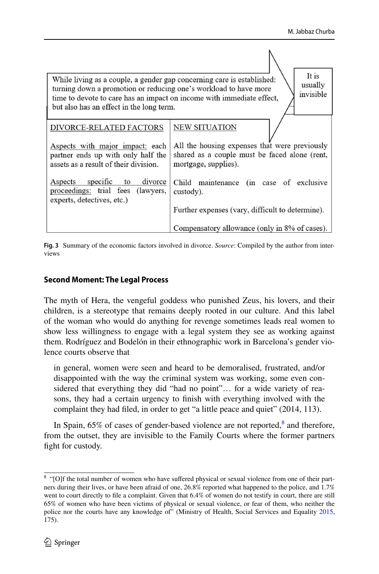| It is<br>While living as a couple, a gender gap concerning care is established:<br>usually<br>turning down a promotion or reducing one's workload to have more<br>invisible<br>time to devote to care has an impact on income with immediate effect,<br>but also has an effect in the long term. |                                                  |
|--------------------------------------------------------------------------------------------------------------------------------------------------------------------------------------------------------------------------------------------------------------------------------------------------|--------------------------------------------------|
| DIVORCE-RELATED FACTORS                                                                                                                                                                                                                                                                          | NEW SITUATION                                    |
| Aspects with major impact: each                                                                                                                                                                                                                                                                  | All the housing expenses that were previously    |
| partner ends up with only half the                                                                                                                                                                                                                                                               | shared as a couple must be faced alone (rent,    |
| assets as a result of their division.                                                                                                                                                                                                                                                            | mortgage, supplies).                             |
| Aspects specific to                                                                                                                                                                                                                                                                              | Child maintenance (in case of exclusive          |
| divorce                                                                                                                                                                                                                                                                                          | custody).                                        |
| proceedings: trial fees (lawyers,                                                                                                                                                                                                                                                                | Further expenses (vary, difficult to determine). |
| experts, detectives, etc.)                                                                                                                                                                                                                                                                       | Compensatory allowance (only in 8% of cases).    |

<span id="page-9-0"></span>**Fig. 3** Summary of the economic factors involved in divorce. *Source*: Compiled by the author from interviews

## **Second Moment: The Legal Process**

The myth of Hera, the vengeful goddess who punished Zeus, his lovers, and their children, is a stereotype that remains deeply rooted in our culture. And this label of the woman who would do anything for revenge sometimes leads real women to show less willingness to engage with a legal system they see as working against them. Rodríguez and Bodelón in their ethnographic work in Barcelona's gender violence courts observe that

in general, women were seen and heard to be demoralised, frustrated, and/or disappointed with the way the criminal system was working, some even considered that everything they did "had no point"… for a wide variety of reasons, they had a certain urgency to fnish with everything involved with the complaint they had fled, in order to get "a little peace and quiet" (2014, 113).

In Spain,  $65\%$  of cases of gender-based violence are not reported, $\frac{8}{3}$  $\frac{8}{3}$  $\frac{8}{3}$  and therefore, from the outset, they are invisible to the Family Courts where the former partners fght for custody.

<span id="page-9-1"></span><sup>&</sup>lt;sup>8</sup> "[O]f the total number of women who have suffered physical or sexual violence from one of their partners during their lives, or have been afraid of one, 26.8% reported what happened to the police, and 1.7% went to court directly to fle a complaint. Given that 6.4% of women do not testify in court, there are still 65% of women who have been victims of physical or sexual violence, or fear of them, who neither the police nor the courts have any knowledge of" (Ministry of Health, Social Services and Equality [2015](#page-21-14), 175).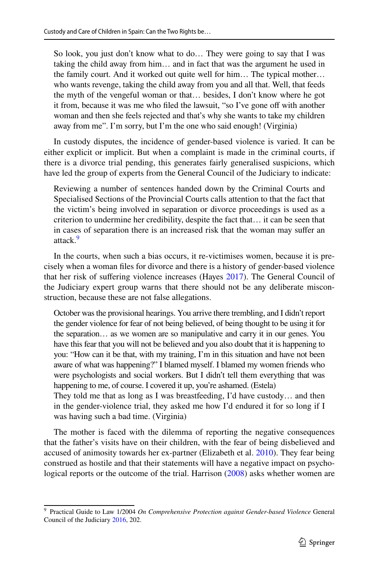So look, you just don't know what to do… They were going to say that I was taking the child away from him… and in fact that was the argument he used in the family court. And it worked out quite well for him… The typical mother… who wants revenge, taking the child away from you and all that. Well, that feeds the myth of the vengeful woman or that… besides, I don't know where he got it from, because it was me who filed the lawsuit, "so I've gone off with another woman and then she feels rejected and that's why she wants to take my children away from me". I'm sorry, but I'm the one who said enough! (Virginia)

In custody disputes, the incidence of gender-based violence is varied. It can be either explicit or implicit. But when a complaint is made in the criminal courts, if there is a divorce trial pending, this generates fairly generalised suspicions, which have led the group of experts from the General Council of the Judiciary to indicate:

Reviewing a number of sentences handed down by the Criminal Courts and Specialised Sections of the Provincial Courts calls attention to that the fact that the victim's being involved in separation or divorce proceedings is used as a criterion to undermine her credibility, despite the fact that… it can be seen that in cases of separation there is an increased risk that the woman may sufer an attack<sup>[9](#page-10-0)</sup>

In the courts, when such a bias occurs, it re-victimises women, because it is precisely when a woman fles for divorce and there is a history of gender-based violence that her risk of sufering violence increases (Hayes [2017](#page-21-15)). The General Council of the Judiciary expert group warns that there should not be any deliberate misconstruction, because these are not false allegations.

October was the provisional hearings. You arrive there trembling, and I didn't report the gender violence for fear of not being believed, of being thought to be using it for the separation… as we women are so manipulative and carry it in our genes. You have this fear that you will not be believed and you also doubt that it is happening to you: "How can it be that, with my training, I'm in this situation and have not been aware of what was happening?" I blamed myself. I blamed my women friends who were psychologists and social workers. But I didn't tell them everything that was happening to me, of course. I covered it up, you're ashamed. (Estela)

They told me that as long as I was breastfeeding, I'd have custody… and then in the gender-violence trial, they asked me how I'd endured it for so long if I was having such a bad time. (Virginia)

The mother is faced with the dilemma of reporting the negative consequences that the father's visits have on their children, with the fear of being disbelieved and accused of animosity towards her ex-partner (Elizabeth et al. [2010\)](#page-20-11). They fear being construed as hostile and that their statements will have a negative impact on psycho-logical reports or the outcome of the trial. Harrison ([2008\)](#page-21-16) asks whether women are

<span id="page-10-0"></span><sup>9</sup> Practical Guide to Law 1/2004 *On Comprehensive Protection against Gender-based Violence* General Council of the Judiciary [2016](#page-21-10), 202.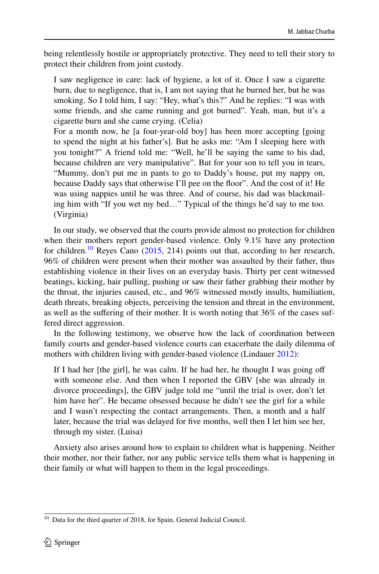being relentlessly hostile or appropriately protective. They need to tell their story to protect their children from joint custody.

I saw negligence in care: lack of hygiene, a lot of it. Once I saw a cigarette burn, due to negligence, that is, I am not saying that he burned her, but he was smoking. So I told him, I say: "Hey, what's this?" And he replies: "I was with some friends, and she came running and got burned". Yeah, man, but it's a cigarette burn and she came crying. (Celia)

For a month now, he [a four-year-old boy] has been more accepting [going to spend the night at his father's]. But he asks me: "Am I sleeping here with you tonight?" A friend told me: "Well, he'll be saying the same to his dad, because children are very manipulative". But for your son to tell you in tears, "Mummy, don't put me in pants to go to Daddy's house, put my nappy on, because Daddy says that otherwise I'll pee on the foor". And the cost of it! He was using nappies until he was three. And of course, his dad was blackmailing him with "If you wet my bed…" Typical of the things he'd say to me too. (Virginia)

In our study, we observed that the courts provide almost no protection for children when their mothers report gender-based violence. Only 9.1% have any protection for children.<sup>[10](#page-11-0)</sup> Reyes Cano  $(2015, 214)$  $(2015, 214)$  $(2015, 214)$  points out that, according to her research, 96% of children were present when their mother was assaulted by their father, thus establishing violence in their lives on an everyday basis. Thirty per cent witnessed beatings, kicking, hair pulling, pushing or saw their father grabbing their mother by the throat, the injuries caused, etc., and 96% witnessed mostly insults, humiliation, death threats, breaking objects, perceiving the tension and threat in the environment, as well as the suffering of their mother. It is worth noting that 36% of the cases suffered direct aggression.

In the following testimony, we observe how the lack of coordination between family courts and gender-based violence courts can exacerbate the daily dilemma of mothers with children living with gender-based violence (Lindauer [2012](#page-21-18)):

If I had her [the girl], he was calm. If he had her, he thought I was going of with someone else. And then when I reported the GBV [she was already in divorce proceedings], the GBV judge told me "until the trial is over, don't let him have her". He became obsessed because he didn't see the girl for a while and I wasn't respecting the contact arrangements. Then, a month and a half later, because the trial was delayed for fve months, well then I let him see her, through my sister. (Luisa)

Anxiety also arises around how to explain to children what is happening. Neither their mother, nor their father, nor any public service tells them what is happening in their family or what will happen to them in the legal proceedings.

<span id="page-11-0"></span><sup>&</sup>lt;sup>10</sup> Data for the third quarter of 2018, for Spain, General Judicial Council.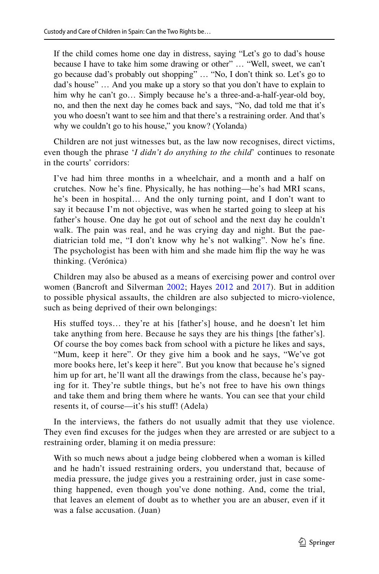If the child comes home one day in distress, saying "Let's go to dad's house because I have to take him some drawing or other" … "Well, sweet, we can't go because dad's probably out shopping" … "No, I don't think so. Let's go to dad's house" … And you make up a story so that you don't have to explain to him why he can't go… Simply because he's a three-and-a-half-year-old boy, no, and then the next day he comes back and says, "No, dad told me that it's you who doesn't want to see him and that there's a restraining order. And that's why we couldn't go to his house," you know? (Yolanda)

Children are not just witnesses but, as the law now recognises, direct victims, even though the phrase '*I didn't do anything to the child*' continues to resonate in the courts' corridors:

I've had him three months in a wheelchair, and a month and a half on crutches. Now he's fne. Physically, he has nothing—he's had MRI scans, he's been in hospital… And the only turning point, and I don't want to say it because I'm not objective, was when he started going to sleep at his father's house. One day he got out of school and the next day he couldn't walk. The pain was real, and he was crying day and night. But the paediatrician told me, "I don't know why he's not walking". Now he's fne. The psychologist has been with him and she made him fip the way he was thinking. (Verónica)

Children may also be abused as a means of exercising power and control over women (Bancroft and Silverman [2002](#page-20-13); Hayes [2012](#page-21-19) and [2017\)](#page-21-15). But in addition to possible physical assaults, the children are also subjected to micro-violence, such as being deprived of their own belongings:

His stufed toys… they're at his [father's] house, and he doesn't let him take anything from here. Because he says they are his things [the father's]. Of course the boy comes back from school with a picture he likes and says, "Mum, keep it here". Or they give him a book and he says, "We've got more books here, let's keep it here". But you know that because he's signed him up for art, he'll want all the drawings from the class, because he's paying for it. They're subtle things, but he's not free to have his own things and take them and bring them where he wants. You can see that your child resents it, of course—it's his stuff! (Adela)

In the interviews, the fathers do not usually admit that they use violence. They even fnd excuses for the judges when they are arrested or are subject to a restraining order, blaming it on media pressure:

With so much news about a judge being clobbered when a woman is killed and he hadn't issued restraining orders, you understand that, because of media pressure, the judge gives you a restraining order, just in case something happened, even though you've done nothing. And, come the trial, that leaves an element of doubt as to whether you are an abuser, even if it was a false accusation. (Juan)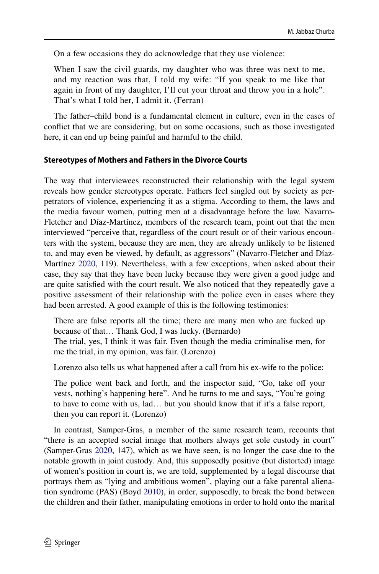On a few occasions they do acknowledge that they use violence:

When I saw the civil guards, my daughter who was three was next to me, and my reaction was that, I told my wife: "If you speak to me like that again in front of my daughter, I'll cut your throat and throw you in a hole". That's what I told her, I admit it. (Ferran)

The father–child bond is a fundamental element in culture, even in the cases of confict that we are considering, but on some occasions, such as those investigated here, it can end up being painful and harmful to the child.

## **Stereotypes of Mothers and Fathers in the Divorce Courts**

The way that interviewees reconstructed their relationship with the legal system reveals how gender stereotypes operate. Fathers feel singled out by society as perpetrators of violence, experiencing it as a stigma. According to them, the laws and the media favour women, putting men at a disadvantage before the law. Navarro-Fletcher and Díaz-Martínez, members of the research team, point out that the men interviewed "perceive that, regardless of the court result or of their various encounters with the system, because they are men, they are already unlikely to be listened to, and may even be viewed, by default, as aggressors" (Navarro-Fletcher and Díaz-Martínez [2020,](#page-21-20) 119). Nevertheless, with a few exceptions, when asked about their case, they say that they have been lucky because they were given a good judge and are quite satisfed with the court result. We also noticed that they repeatedly gave a positive assessment of their relationship with the police even in cases where they had been arrested. A good example of this is the following testimonies:

There are false reports all the time; there are many men who are fucked up because of that… Thank God, I was lucky. (Bernardo)

The trial, yes, I think it was fair. Even though the media criminalise men, for me the trial, in my opinion, was fair. (Lorenzo)

Lorenzo also tells us what happened after a call from his ex-wife to the police:

The police went back and forth, and the inspector said, "Go, take off your vests, nothing's happening here". And he turns to me and says, "You're going to have to come with us, lad… but you should know that if it's a false report, then you can report it. (Lorenzo)

In contrast, Samper-Gras, a member of the same research team, recounts that "there is an accepted social image that mothers always get sole custody in court" (Samper-Gras [2020](#page-21-21), 147), which as we have seen, is no longer the case due to the notable growth in joint custody. And, this supposedly positive (but distorted) image of women's position in court is, we are told, supplemented by a legal discourse that portrays them as "lying and ambitious women", playing out a fake parental alienation syndrome (PAS) (Boyd [2010\)](#page-20-14), in order, supposedly, to break the bond between the children and their father, manipulating emotions in order to hold onto the marital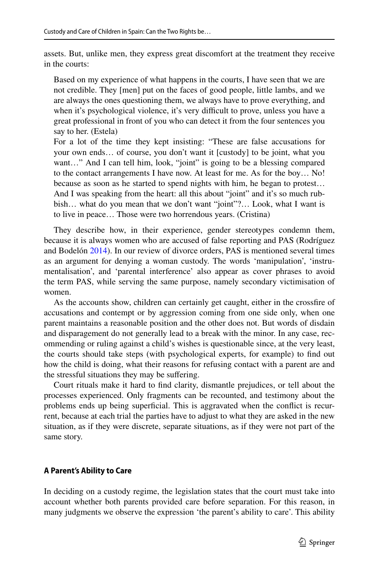assets. But, unlike men, they express great discomfort at the treatment they receive in the courts:

Based on my experience of what happens in the courts, I have seen that we are not credible. They [men] put on the faces of good people, little lambs, and we are always the ones questioning them, we always have to prove everything, and when it's psychological violence, it's very difficult to prove, unless you have a great professional in front of you who can detect it from the four sentences you say to her. (Estela)

For a lot of the time they kept insisting: "These are false accusations for your own ends… of course, you don't want it [custody] to be joint, what you want..." And I can tell him, look, "joint" is going to be a blessing compared to the contact arrangements I have now. At least for me. As for the boy… No! because as soon as he started to spend nights with him, he began to protest… And I was speaking from the heart: all this about "joint" and it's so much rubbish… what do you mean that we don't want "joint"?… Look, what I want is to live in peace… Those were two horrendous years. (Cristina)

They describe how, in their experience, gender stereotypes condemn them, because it is always women who are accused of false reporting and PAS (Rodríguez and Bodelón [2014](#page-21-22)). In our review of divorce orders, PAS is mentioned several times as an argument for denying a woman custody. The words 'manipulation', 'instrumentalisation', and 'parental interference' also appear as cover phrases to avoid the term PAS, while serving the same purpose, namely secondary victimisation of women.

As the accounts show, children can certainly get caught, either in the crossfre of accusations and contempt or by aggression coming from one side only, when one parent maintains a reasonable position and the other does not. But words of disdain and disparagement do not generally lead to a break with the minor. In any case, recommending or ruling against a child's wishes is questionable since, at the very least, the courts should take steps (with psychological experts, for example) to fnd out how the child is doing, what their reasons for refusing contact with a parent are and the stressful situations they may be sufering.

Court rituals make it hard to fnd clarity, dismantle prejudices, or tell about the processes experienced. Only fragments can be recounted, and testimony about the problems ends up being superficial. This is aggravated when the conflict is recurrent, because at each trial the parties have to adjust to what they are asked in the new situation, as if they were discrete, separate situations, as if they were not part of the same story.

#### **A Parent's Ability to Care**

In deciding on a custody regime, the legislation states that the court must take into account whether both parents provided care before separation. For this reason, in many judgments we observe the expression 'the parent's ability to care'. This ability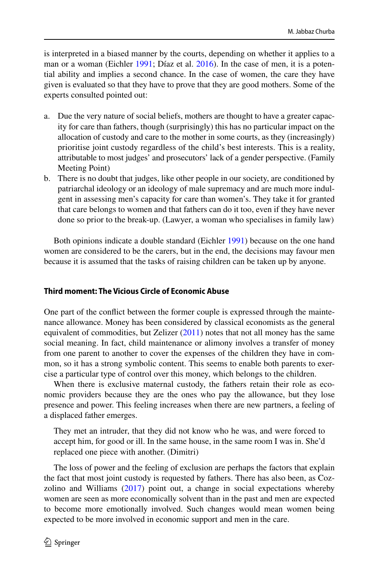is interpreted in a biased manner by the courts, depending on whether it applies to a man or a woman (Eichler [1991](#page-20-15); Díaz et al. [2016\)](#page-20-10). In the case of men, it is a potential ability and implies a second chance. In the case of women, the care they have given is evaluated so that they have to prove that they are good mothers. Some of the experts consulted pointed out:

- a. Due the very nature of social beliefs, mothers are thought to have a greater capacity for care than fathers, though (surprisingly) this has no particular impact on the allocation of custody and care to the mother in some courts, as they (increasingly) prioritise joint custody regardless of the child's best interests. This is a reality, attributable to most judges' and prosecutors' lack of a gender perspective. (Family Meeting Point)
- b. There is no doubt that judges, like other people in our society, are conditioned by patriarchal ideology or an ideology of male supremacy and are much more indulgent in assessing men's capacity for care than women's. They take it for granted that care belongs to women and that fathers can do it too, even if they have never done so prior to the break-up. (Lawyer, a woman who specialises in family law)

Both opinions indicate a double standard (Eichler [1991\)](#page-20-15) because on the one hand women are considered to be the carers, but in the end, the decisions may favour men because it is assumed that the tasks of raising children can be taken up by anyone.

## **Third moment: The Vicious Circle of Economic Abuse**

One part of the confict between the former couple is expressed through the maintenance allowance. Money has been considered by classical economists as the general equivalent of commodities, but Zelizer  $(2011)$  $(2011)$  notes that not all money has the same social meaning. In fact, child maintenance or alimony involves a transfer of money from one parent to another to cover the expenses of the children they have in common, so it has a strong symbolic content. This seems to enable both parents to exercise a particular type of control over this money, which belongs to the children.

When there is exclusive maternal custody, the fathers retain their role as economic providers because they are the ones who pay the allowance, but they lose presence and power. This feeling increases when there are new partners, a feeling of a displaced father emerges.

They met an intruder, that they did not know who he was, and were forced to accept him, for good or ill. In the same house, in the same room I was in. She'd replaced one piece with another. (Dimitri)

The loss of power and the feeling of exclusion are perhaps the factors that explain the fact that most joint custody is requested by fathers. There has also been, as Cozzolino and Williams [\(2017](#page-20-3)) point out, a change in social expectations whereby women are seen as more economically solvent than in the past and men are expected to become more emotionally involved. Such changes would mean women being expected to be more involved in economic support and men in the care.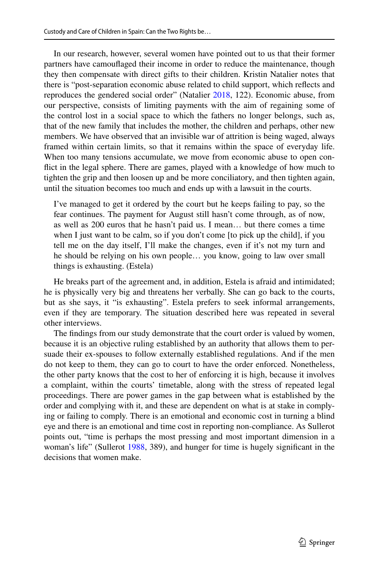In our research, however, several women have pointed out to us that their former partners have camoufaged their income in order to reduce the maintenance, though they then compensate with direct gifts to their children. Kristin Natalier notes that there is "post-separation economic abuse related to child support, which refects and reproduces the gendered social order" (Natalier [2018](#page-21-23), 122). Economic abuse, from our perspective, consists of limiting payments with the aim of regaining some of the control lost in a social space to which the fathers no longer belongs, such as, that of the new family that includes the mother, the children and perhaps, other new members. We have observed that an invisible war of attrition is being waged, always framed within certain limits, so that it remains within the space of everyday life. When too many tensions accumulate, we move from economic abuse to open confict in the legal sphere. There are games, played with a knowledge of how much to tighten the grip and then loosen up and be more conciliatory, and then tighten again, until the situation becomes too much and ends up with a lawsuit in the courts.

I've managed to get it ordered by the court but he keeps failing to pay, so the fear continues. The payment for August still hasn't come through, as of now, as well as 200 euros that he hasn't paid us. I mean… but there comes a time when I just want to be calm, so if you don't come [to pick up the child], if you tell me on the day itself, I'll make the changes, even if it's not my turn and he should be relying on his own people… you know, going to law over small things is exhausting. (Estela)

He breaks part of the agreement and, in addition, Estela is afraid and intimidated; he is physically very big and threatens her verbally. She can go back to the courts, but as she says, it "is exhausting". Estela prefers to seek informal arrangements, even if they are temporary. The situation described here was repeated in several other interviews.

The fndings from our study demonstrate that the court order is valued by women, because it is an objective ruling established by an authority that allows them to persuade their ex-spouses to follow externally established regulations. And if the men do not keep to them, they can go to court to have the order enforced. Nonetheless, the other party knows that the cost to her of enforcing it is high, because it involves a complaint, within the courts' timetable, along with the stress of repeated legal proceedings. There are power games in the gap between what is established by the order and complying with it, and these are dependent on what is at stake in complying or failing to comply. There is an emotional and economic cost in turning a blind eye and there is an emotional and time cost in reporting non-compliance. As Sullerot points out, "time is perhaps the most pressing and most important dimension in a woman's life" (Sullerot [1988,](#page-21-24) 389), and hunger for time is hugely significant in the decisions that women make.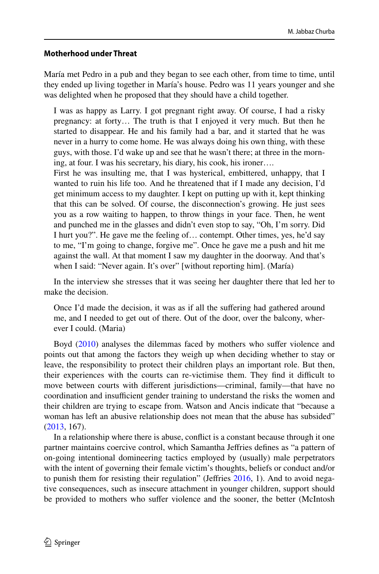## **Motherhood under Threat**

María met Pedro in a pub and they began to see each other, from time to time, until they ended up living together in María's house. Pedro was 11 years younger and she was delighted when he proposed that they should have a child together.

I was as happy as Larry. I got pregnant right away. Of course, I had a risky pregnancy: at forty… The truth is that I enjoyed it very much. But then he started to disappear. He and his family had a bar, and it started that he was never in a hurry to come home. He was always doing his own thing, with these guys, with those. I'd wake up and see that he wasn't there; at three in the morning, at four. I was his secretary, his diary, his cook, his ironer….

First he was insulting me, that I was hysterical, embittered, unhappy, that I wanted to ruin his life too. And he threatened that if I made any decision, I'd get minimum access to my daughter. I kept on putting up with it, kept thinking that this can be solved. Of course, the disconnection's growing. He just sees you as a row waiting to happen, to throw things in your face. Then, he went and punched me in the glasses and didn't even stop to say, "Oh, I'm sorry. Did I hurt you?". He gave me the feeling of… contempt. Other times, yes, he'd say to me, "I'm going to change, forgive me". Once he gave me a push and hit me against the wall. At that moment I saw my daughter in the doorway. And that's when I said: "Never again. It's over" [without reporting him]. (María)

In the interview she stresses that it was seeing her daughter there that led her to make the decision.

Once I'd made the decision, it was as if all the suffering had gathered around me, and I needed to get out of there. Out of the door, over the balcony, wherever I could. (Maria)

Boyd ([2010\)](#page-20-14) analyses the dilemmas faced by mothers who sufer violence and points out that among the factors they weigh up when deciding whether to stay or leave, the responsibility to protect their children plays an important role. But then, their experiences with the courts can re-victimise them. They find it difficult to move between courts with diferent jurisdictions—criminal, family—that have no coordination and insufficient gender training to understand the risks the women and their children are trying to escape from. Watson and Ancis indicate that "because a woman has left an abusive relationship does not mean that the abuse has subsided" [\(2013](#page-22-1), 167).

In a relationship where there is abuse, confict is a constant because through it one partner maintains coercive control, which Samantha Jefries defnes as "a pattern of on-going intentional domineering tactics employed by (usually) male perpetrators with the intent of governing their female victim's thoughts, beliefs or conduct and/or to punish them for resisting their regulation" (Jefries [2016,](#page-21-25) 1). And to avoid negative consequences, such as insecure attachment in younger children, support should be provided to mothers who sufer violence and the sooner, the better (McIntosh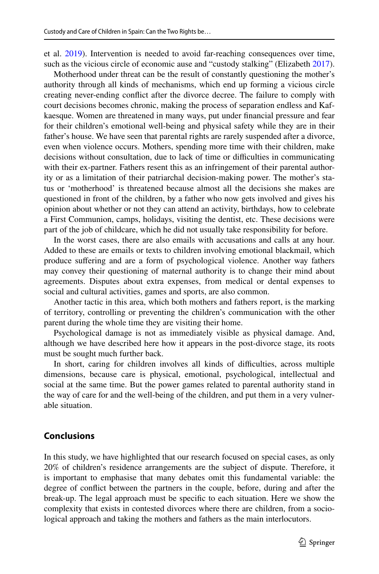et al. [2019](#page-21-26)). Intervention is needed to avoid far-reaching consequences over time, such as the vicious circle of economic ause and "custody stalking" (Elizabeth [2017\)](#page-20-12).

Motherhood under threat can be the result of constantly questioning the mother's authority through all kinds of mechanisms, which end up forming a vicious circle creating never-ending confict after the divorce decree. The failure to comply with court decisions becomes chronic, making the process of separation endless and Kafkaesque. Women are threatened in many ways, put under fnancial pressure and fear for their children's emotional well-being and physical safety while they are in their father's house. We have seen that parental rights are rarely suspended after a divorce, even when violence occurs. Mothers, spending more time with their children, make decisions without consultation, due to lack of time or difculties in communicating with their ex-partner. Fathers resent this as an infringement of their parental authority or as a limitation of their patriarchal decision-making power. The mother's status or 'motherhood' is threatened because almost all the decisions she makes are questioned in front of the children, by a father who now gets involved and gives his opinion about whether or not they can attend an activity, birthdays, how to celebrate a First Communion, camps, holidays, visiting the dentist, etc. These decisions were part of the job of childcare, which he did not usually take responsibility for before.

In the worst cases, there are also emails with accusations and calls at any hour. Added to these are emails or texts to children involving emotional blackmail, which produce sufering and are a form of psychological violence. Another way fathers may convey their questioning of maternal authority is to change their mind about agreements. Disputes about extra expenses, from medical or dental expenses to social and cultural activities, games and sports, are also common.

Another tactic in this area, which both mothers and fathers report, is the marking of territory, controlling or preventing the children's communication with the other parent during the whole time they are visiting their home.

Psychological damage is not as immediately visible as physical damage. And, although we have described here how it appears in the post-divorce stage, its roots must be sought much further back.

In short, caring for children involves all kinds of difficulties, across multiple dimensions, because care is physical, emotional, psychological, intellectual and social at the same time. But the power games related to parental authority stand in the way of care for and the well-being of the children, and put them in a very vulnerable situation.

#### **Conclusions**

In this study, we have highlighted that our research focused on special cases, as only 20% of children's residence arrangements are the subject of dispute. Therefore, it is important to emphasise that many debates omit this fundamental variable: the degree of confict between the partners in the couple, before, during and after the break-up. The legal approach must be specifc to each situation. Here we show the complexity that exists in contested divorces where there are children, from a sociological approach and taking the mothers and fathers as the main interlocutors.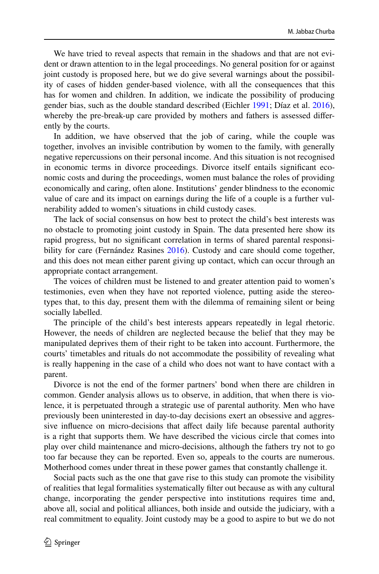We have tried to reveal aspects that remain in the shadows and that are not evident or drawn attention to in the legal proceedings. No general position for or against joint custody is proposed here, but we do give several warnings about the possibility of cases of hidden gender-based violence, with all the consequences that this has for women and children. In addition, we indicate the possibility of producing gender bias, such as the double standard described (Eichler [1991;](#page-20-15) Díaz et al. [2016\)](#page-20-10), whereby the pre-break-up care provided by mothers and fathers is assessed diferently by the courts.

In addition, we have observed that the job of caring, while the couple was together, involves an invisible contribution by women to the family, with generally negative repercussions on their personal income. And this situation is not recognised in economic terms in divorce proceedings. Divorce itself entails signifcant economic costs and during the proceedings, women must balance the roles of providing economically and caring, often alone. Institutions' gender blindness to the economic value of care and its impact on earnings during the life of a couple is a further vulnerability added to women's situations in child custody cases.

The lack of social consensus on how best to protect the child's best interests was no obstacle to promoting joint custody in Spain. The data presented here show its rapid progress, but no signifcant correlation in terms of shared parental responsibility for care (Fernández Rasines [2016\)](#page-20-4). Custody and care should come together, and this does not mean either parent giving up contact, which can occur through an appropriate contact arrangement.

The voices of children must be listened to and greater attention paid to women's testimonies, even when they have not reported violence, putting aside the stereotypes that, to this day, present them with the dilemma of remaining silent or being socially labelled.

The principle of the child's best interests appears repeatedly in legal rhetoric. However, the needs of children are neglected because the belief that they may be manipulated deprives them of their right to be taken into account. Furthermore, the courts' timetables and rituals do not accommodate the possibility of revealing what is really happening in the case of a child who does not want to have contact with a parent.

Divorce is not the end of the former partners' bond when there are children in common. Gender analysis allows us to observe, in addition, that when there is violence, it is perpetuated through a strategic use of parental authority. Men who have previously been uninterested in day-to-day decisions exert an obsessive and aggressive infuence on micro-decisions that afect daily life because parental authority is a right that supports them. We have described the vicious circle that comes into play over child maintenance and micro-decisions, although the fathers try not to go too far because they can be reported. Even so, appeals to the courts are numerous. Motherhood comes under threat in these power games that constantly challenge it.

Social pacts such as the one that gave rise to this study can promote the visibility of realities that legal formalities systematically flter out because as with any cultural change, incorporating the gender perspective into institutions requires time and, above all, social and political alliances, both inside and outside the judiciary, with a real commitment to equality. Joint custody may be a good to aspire to but we do not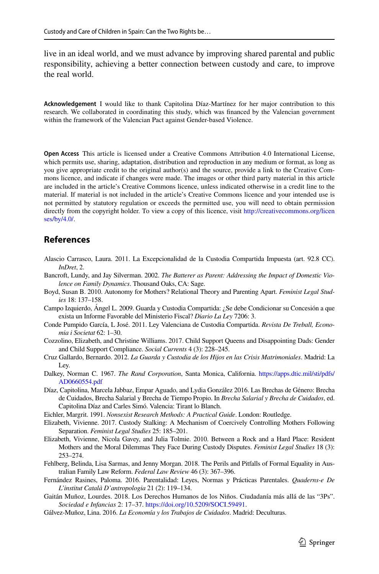live in an ideal world, and we must advance by improving shared parental and public responsibility, achieving a better connection between custody and care, to improve the real world.

**Acknowledgement** I would like to thank Capitolina Díaz-Martínez for her major contribution to this research. We collaborated in coordinating this study, which was fnanced by the Valencian government within the framework of the Valencian Pact against Gender-based Violence.

**Open Access** This article is licensed under a Creative Commons Attribution 4.0 International License, which permits use, sharing, adaptation, distribution and reproduction in any medium or format, as long as you give appropriate credit to the original author(s) and the source, provide a link to the Creative Commons licence, and indicate if changes were made. The images or other third party material in this article are included in the article's Creative Commons licence, unless indicated otherwise in a credit line to the material. If material is not included in the article's Creative Commons licence and your intended use is not permitted by statutory regulation or exceeds the permitted use, you will need to obtain permission directly from the copyright holder. To view a copy of this licence, visit [http://creativecommons.org/licen](http://creativecommons.org/licenses/by/4.0/) [ses/by/4.0/](http://creativecommons.org/licenses/by/4.0/).

# **References**

- <span id="page-20-1"></span>Alascio Carrasco, Laura. 2011. La Excepcionalidad de la Custodia Compartida Impuesta (art. 92.8 CC). *InDret*, 2.
- <span id="page-20-13"></span>Bancroft, Lundy, and Jay Silverman. 2002. *The Batterer as Parent: Addressing the Impact of Domestic Violence on Family Dynamics*. Thousand Oaks, CA: Sage.
- <span id="page-20-14"></span>Boyd, Susan B. 2010. Autonomy for Mothers? Relational Theory and Parenting Apart. *Feminist Legal Studies* 18: 137–158.
- <span id="page-20-2"></span>Campo Izquierdo, Ángel L. 2009. Guarda y Custodia Compartida: ¿Se debe Condicionar su Concesión a que exista un Informe Favorable del Ministerio Fiscal? *Diario La Ley* 7206: 3.
- <span id="page-20-8"></span>Conde Pumpido García, L José. 2011. Ley Valenciana de Custodia Compartida. *Revista De Treball, Economia i Societat* 62: 1–30.
- <span id="page-20-3"></span>Cozzolino, Elizabeth, and Christine Williams. 2017. Child Support Queens and Disappointing Dads: Gender and Child Support Compliance. *Social Currents* 4 (3): 228–245.
- <span id="page-20-0"></span>Cruz Gallardo, Bernardo. 2012. *La Guarda y Custodia de los Hijos en las Crisis Matrimoniales*. Madrid: La Ley.
- <span id="page-20-9"></span>Dalkey, Norman C. 1967. *The Rand Corporation*, Santa Monica, California. [https://apps.dtic.mil/sti/pdfs/](https://apps.dtic.mil/sti/pdfs/AD0660554.pdf) [AD0660554.pdf](https://apps.dtic.mil/sti/pdfs/AD0660554.pdf)
- <span id="page-20-10"></span>Díaz, Capitolina, Marcela Jabbaz, Empar Aguado, and Lydia González 2016. Las Brechas de Género: Brecha de Cuidados, Brecha Salarial y Brecha de Tiempo Propio. In *Brecha Salarial y Brecha de Cuidados*, ed. Capitolina Díaz and Carles Simó. Valencia: Tirant lo Blanch.
- <span id="page-20-15"></span>Eichler, Margrit. 1991. *Nonsexist Research Methods: A Practical Guide*. London: Routledge.
- <span id="page-20-12"></span>Elizabeth, Vivienne. 2017. Custody Stalking: A Mechanism of Coercively Controlling Mothers Following Separation. *Feminist Legal Studies* 25: 185–201.
- <span id="page-20-11"></span>Elizabeth, Vivienne, Nicola Gavey, and Julia Tolmie. 2010. Between a Rock and a Hard Place: Resident Mothers and the Moral Dilemmas They Face During Custody Disputes. *Feminist Legal Studies* 18 (3): 253–274.
- <span id="page-20-7"></span>Fehlberg, Belinda, Lisa Sarmas, and Jenny Morgan. 2018. The Perils and Pitfalls of Formal Equality in Australian Family Law Reform. *Federal Law Review* 46 (3): 367–396.
- <span id="page-20-4"></span>Fernández Rasines, Paloma. 2016. Parentalidad: Leyes, Normas y Prácticas Parentales. *Quaderns-e De L'institut Català D'antropologia* 21 (2): 119–134.
- <span id="page-20-6"></span>Gaitán Muñoz, Lourdes. 2018. Los Derechos Humanos de los Niños. Ciudadanía más allá de las "3Ps". *Sociedad e Infancias* 2: 17–37. <https://doi.org/10.5209/SOCI.59491>.
- <span id="page-20-5"></span>Gálvez-Muñoz, Lina. 2016. *La Economía y los Trabajos de Cuidados*. Madrid: Deculturas.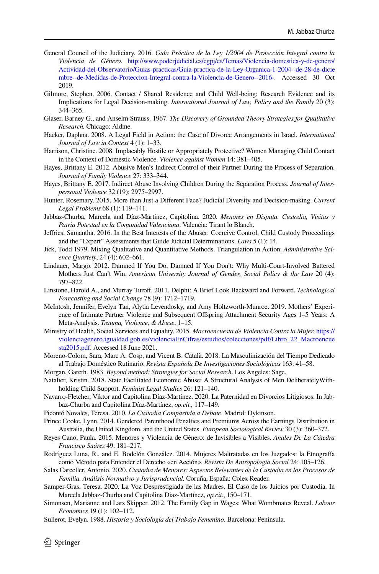- <span id="page-21-10"></span>General Council of the Judiciary. 2016. *Guía Práctica de la Ley 1/2004 de Protección Integral contra la Violencia de Género*. [http://www.poderjudicial.es/cgpj/es/Temas/Violencia-domestica-y-de-genero/](http://www.poderjudicial.es/cgpj/es/Temas/Violencia-domestica-y-de-genero/Actividad-del-Observatorio/Guias-practicas/Guia-practica-de-la-Ley-Organica-1-2004--de-28-de-diciembre--de-Medidas-de-Proteccion-Integral-contra-la-Violencia-de-Genero--2016-) [Actividad-del-Observatorio/Guias-practicas/Guia-practica-de-la-Ley-Organica-1-2004--de-28-de-dicie](http://www.poderjudicial.es/cgpj/es/Temas/Violencia-domestica-y-de-genero/Actividad-del-Observatorio/Guias-practicas/Guia-practica-de-la-Ley-Organica-1-2004--de-28-de-diciembre--de-Medidas-de-Proteccion-Integral-contra-la-Violencia-de-Genero--2016-) [mbre--de-Medidas-de-Proteccion-Integral-contra-la-Violencia-de-Genero--2016-](http://www.poderjudicial.es/cgpj/es/Temas/Violencia-domestica-y-de-genero/Actividad-del-Observatorio/Guias-practicas/Guia-practica-de-la-Ley-Organica-1-2004--de-28-de-diciembre--de-Medidas-de-Proteccion-Integral-contra-la-Violencia-de-Genero--2016-). Accessed 30 Oct 2019.
- <span id="page-21-4"></span>Gilmore, Stephen. 2006. Contact / Shared Residence and Child Well-being: Research Evidence and its Implications for Legal Decision-making. *International Journal of Law, Policy and the Family* 20 (3): 344–365.
- <span id="page-21-9"></span>Glaser, Barney G., and Anselm Strauss. 1967. *The Discovery of Grounded Theory Strategies for Qualitative Research.* Chicago: Aldine.
- <span id="page-21-5"></span>Hacker, Daphna. 2008. A Legal Field in Action: the Case of Divorce Arrangements in Israel. *International Journal of Law in Context* 4 (1): 1–33.
- <span id="page-21-16"></span>Harrison, Christine. 2008. Implacably Hostile or Appropriately Protective? Women Managing Child Contact in the Context of Domestic Violence. *Violence against Women* 14: 381–405.
- <span id="page-21-19"></span>Hayes, Brittany E. 2012. Abusive Men's Indirect Control of their Partner During the Process of Separation. *Journal of Family Violence* 27: 333–344.
- <span id="page-21-15"></span>Hayes, Brittany E. 2017. Indirect Abuse Involving Children During the Separation Process. *Journal of Interpersonal Violence* 32 (19): 2975–2997.
- <span id="page-21-6"></span>Hunter, Rosemary. 2015. More than Just a Diferent Face? Judicial Diversity and Decision-making. *Current Legal Problems* 68 (1): 119–141.
- <span id="page-21-2"></span>Jabbaz-Churba, Marcela and Díaz-Martínez, Capitolina. 2020. *Menores en Disputa. Custodia, Visitas y Patria Potestad en la Comunidad Valenciana*. Valencia: Tirant lo Blanch.
- <span id="page-21-25"></span>Jefries, Samantha. 2016. In the Best Interests of the Abuser: Coercive Control, Child Custody Proceedings and the "Expert" Assessments that Guide Judicial Determinations. *Laws* 5 (1): 14.
- <span id="page-21-7"></span>Jick, Todd 1979. Mixing Qualitative and Quantitative Methods. Triangulation in Action. *Administrative Science Quartely*, 24 (4): 602–661.
- <span id="page-21-18"></span>Lindauer, Margo. 2012. Damned If You Do, Damned If You Don't: Why Multi-Court-Involved Battered Mothers Just Can't Win. *American University Journal of Gender, Social Policy & the Law* 20 (4): 797–822.
- <span id="page-21-3"></span>Linstone, Harold A., and Murray Turof. 2011. Delphi: A Brief Look Backward and Forward. *Technological Forecasting and Social Change* 78 (9): 1712–1719.
- <span id="page-21-26"></span>McIntosh, Jennifer, Evelyn Tan, Alytia Levendosky, and Amy Holtzworth-Munroe. 2019. Mothers' Experience of Intimate Partner Violence and Subsequent Ofspring Attachment Security Ages 1–5 Years: A Meta-Analysis. *Trauma, Violence, & Abuse*, 1–15.
- <span id="page-21-14"></span>Ministry of Health, Social Services and Equality. 2015. *Macroencuesta de Violencia Contra la Mujer.* [https://](https://violenciagenero.igualdad.gob.es/violenciaEnCifras/estudios/colecciones/pdf/Libro_22_Macroencuesta2015.pdf) [violenciagenero.igualdad.gob.es/violenciaEnCifras/estudios/colecciones/pdf/Libro\\_22\\_Macroencue](https://violenciagenero.igualdad.gob.es/violenciaEnCifras/estudios/colecciones/pdf/Libro_22_Macroencuesta2015.pdf) [sta2015.pdf](https://violenciagenero.igualdad.gob.es/violenciaEnCifras/estudios/colecciones/pdf/Libro_22_Macroencuesta2015.pdf). Accessed 18 June 2021.
- <span id="page-21-11"></span>Moreno-Colom, Sara, Marc A. Cosp, and Vicent B. Català. 2018. La Masculinización del Tiempo Dedicado al Trabajo Doméstico Rutinario. *Revista Española De Investigaciones Sociológicas* 163: 41–58.
- <span id="page-21-8"></span>Morgan, Gareth. 1983. *Beyond method: Strategies for Social Research*. Los Angeles: Sage.
- <span id="page-21-23"></span>Natalier, Kristin. 2018. State Facilitated Economic Abuse: A Structural Analysis of Men DeliberatelyWithholding Child Support. *Feminist Legal Studies* 26: 121–140.
- <span id="page-21-20"></span>Navarro-Fletcher, Viktor and Capitolina Díaz-Martínez. 2020. La Paternidad en Divorcios Litigiosos. In Jabbaz-Churba and Capitolina Díaz-Martínez, *op.cit.,* 117–149.
- <span id="page-21-0"></span>Picontó Novales, Teresa. 2010. *La Custodia Compartida a Debate*. Madrid: Dykinson.
- <span id="page-21-13"></span>Prince Cooke, Lynn. 2014. Gendered Parenthood Penalties and Premiums Across the Earnings Distribution in Australia, the United Kingdom, and the United States. *European Sociological Review* 30 (3): 360–372.
- <span id="page-21-17"></span>Reyes Cano, Paula. 2015. Menores y Violencia de Género: de Invisibles a Visibles. *Anales De La Cátedra Francisco Suárez* 49: 181–217.
- <span id="page-21-22"></span>Rodríguez Luna, R., and E. Bodelón González. 2014. Mujeres Maltratadas en los Juzgados: la Etnografía como Método para Entender el Derecho «en Acción». *Revista De Antropología Social* 24: 105–126.
- <span id="page-21-1"></span>Salas Carceller, Antonio. 2020. *Custodia de Menores: Aspectos Relevantes de la Custodia en los Procesos de Familia. Análisis Normativo y Jurisprudencial.* Coruña, España: Colex Reader.
- <span id="page-21-21"></span>Samper-Gras, Teresa. 2020. La Voz Desprestigiada de las Madres. El Caso de los Juicios por Custodia. In Marcela Jabbaz-Churba and Capitolina Díaz-Martínez, *op.cit.*, 150–171.
- <span id="page-21-12"></span>Simonsen, Marianne and Lars Skipper. 2012. The Family Gap in Wages: What Wombmates Reveal. *Labour Economics* 19 (1): 102–112.

<span id="page-21-24"></span>Sullerot, Evelyn. 1988. *Historia y Sociología del Trabajo Femenino*. Barcelona: Península.